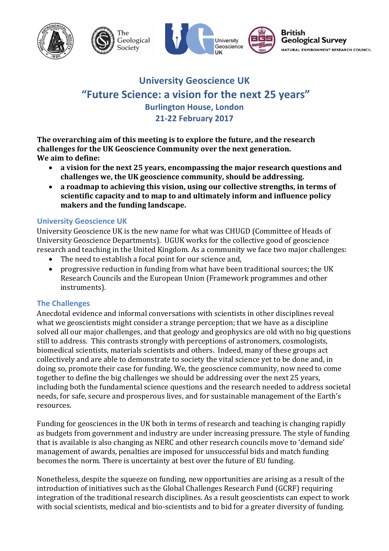

# **University Geoscience UK "Future Science: a vision for the next 25 years" Burlington House, London 21-22 February 2017**

**The overarching aim of this meeting is to explore the future, and the research** challenges for the UK Geoscience Community over the next generation. **We aim to define:**

- a vision for the next 25 years, encompassing the major research questions and challenges we, the UK geoscience community, should be addressing.
- a roadmap to achieving this vision, using our collective strengths, in terms of **scientific capacity and to map to and ultimately inform and influence policy** makers and the funding landscape.

## **University Geoscience UK**

University Geoscience UK is the new name for what was CHUGD (Committee of Heads of University Geoscience Departments). UGUK works for the collective good of geoscience research and teaching in the United Kingdom. As a community we face two major challenges:

- The need to establish a focal point for our science and,
- progressive reduction in funding from what have been traditional sources; the UK Research Councils and the European Union (Framework programmes and other instruments).

# **The Challenges**

Anecdotal evidence and informal conversations with scientists in other disciplines reveal what we geoscientists might consider a strange perception; that we have as a discipline solved all our major challenges, and that geology and geophysics are old with no big questions still to address. This contrasts strongly with perceptions of astronomers, cosmologists, biomedical scientists, materials scientists and others. Indeed, many of these groups act collectively and are able to demonstrate to society the vital science yet to be done and, in doing so, promote their case for funding. We, the geoscience community, now need to come together to define the big challenges we should be addressing over the next 25 years, including both the fundamental science questions and the research needed to address societal needs, for safe, secure and prosperous lives, and for sustainable management of the Earth's resources.

Funding for geosciences in the UK both in terms of research and teaching is changing rapidly as budgets from government and industry are under increasing pressure. The style of funding that is available is also changing as NERC and other research councils move to 'demand side' management of awards, penalties are imposed for unsuccessful bids and match funding becomes the norm. There is uncertainty at best over the future of EU funding.

Nonetheless, despite the squeeze on funding, new opportunities are arising as a result of the introduction of initiatives such as the Global Challenges Research Fund (GCRF) requiring integration of the traditional research disciplines. As a result geoscientists can expect to work with social scientists, medical and bio-scientists and to bid for a greater diversity of funding.